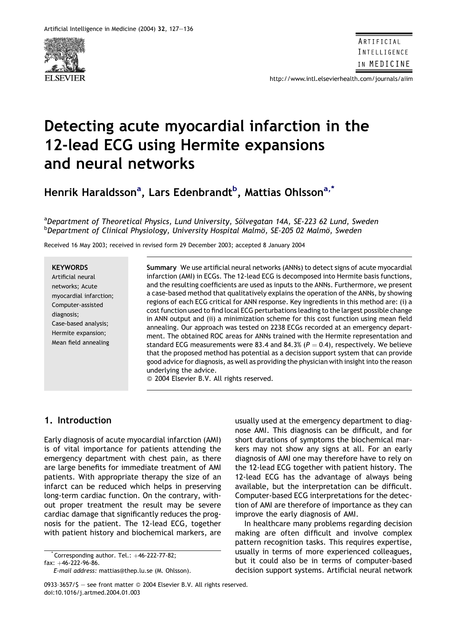

http://www.intl.elsevierhealth.com/journals/aiim

# Detecting acute myocardial infarction in the 12-lead ECG using Hermite expansions and neural networks

Henrik Haraldsson<sup>a</sup>, Lars Edenbrandt<sup>b</sup>, Mattias Ohlsson<sup>a,\*</sup>

aDepartment of Theoretical Physics, Lund University, Sölvegatan 14A, SE-223 62 Lund, Sweden b<br>Department of Clinical Physiology, University Hospital Malmö, SE-205 02 Malmö, Sweden

Received 16 May 2003; received in revised form 29 December 2003; accepted 8 January 2004

## **KEYWORDS**

Artificial neural networks; Acute myocardial infarction; Computer-assisted diagnosis; Case-based analysis; Hermite expansion; Mean field annealing

Summary We use artificial neural networks (ANNs) to detect signs of acute myocardial infarction (AMI) in ECGs. The 12-lead ECG is decomposed into Hermite basis functions, and the resulting coefficients are used as inputs to the ANNs. Furthermore, we present a case-based method that qualitatively explains the operation of the ANNs, by showing regions of each ECG critical for ANN response. Key ingredients in this method are: (i) a cost function used to find local ECG perturbations leading to the largest possible change in ANN output and (ii) a minimization scheme for this cost function using mean field annealing. Our approach was tested on 2238 ECGs recorded at an emergency department. The obtained ROC areas for ANNs trained with the Hermite representation and standard ECG measurements were 83.4 and 84.3% ( $P = 0.4$ ), respectively. We believe that the proposed method has potential as a decision support system that can provide good advice for diagnosis, as well as providing the physician with insight into the reason underlying the advice.

2004 Elsevier B.V. All rights reserved.

# 1. Introduction

Early diagnosis of acute myocardial infarction (AMI) is of vital importance for patients attending the emergency department with chest pain, as there are large benefits for immediate treatment of AMI patients. With appropriate therapy the size of an infarct can be reduced which helps in preserving long-term cardiac function. On the contrary, without proper treatment the result may be severe cardiac damage that significantly reduces the prognosis for the patient. The 12-lead ECG, together with patient history and biochemical markers, are

0933-3657/\$  $-$  see front matter  $\odot$  2004 Elsevier B.V. All rights reserved. doi:10.1016/j.artmed.2004.01.003

usually used at the emergency department to diagnose AMI. This diagnosis can be difficult, and for short durations of symptoms the biochemical markers may not show any signs at all. For an early diagnosis of AMI one may therefore have to rely on the 12-lead ECG together with patient history. The 12-lead ECG has the advantage of always being available, but the interpretation can be difficult. Computer-based ECG interpretations for the detection of AMI are therefore of importance as they can improve the early diagnosis of AMI.

In healthcare many problems regarding decision making are often difficult and involve complex pattern recognition tasks. This requires expertise, usually in terms of more experienced colleagues, but it could also be in terms of computer-based decision support systems. Artificial neural network

<sup>\*</sup> Corresponding author. Tel.:  $+46-222-77-82$ ; fax:  $+46-222-96-86$ .

E-mail address: mattias@thep.lu.se (M. Ohlsson).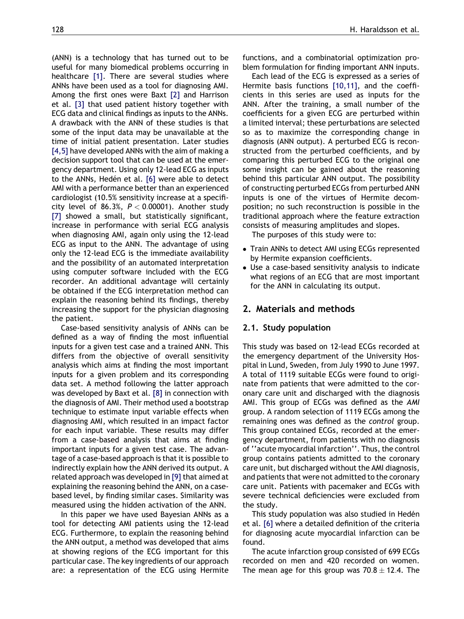<span id="page-1-0"></span>(ANN) is a technology that has turned out to be useful for many biomedical problems occurring in healthcare [\[1\].](#page-9-0) There are several studies where ANNs have been used as a tool for diagnosing AMI. Among the first ones were Baxt [\[2\]](#page-9-0) and Harrison et al. [\[3\]](#page-9-0) that used patient history together with ECG data and clinical findings as inputs to the ANNs. A drawback with the ANN of these studies is that some of the input data may be unavailable at the time of initial patient presentation. Later studies [\[4,5\]](#page-9-0) have developed ANNs with the aim of making a decision support tool that can be used at the emergency department. Using only 12-lead ECG as inputs to the ANNs, Hedén et al. [\[6\]](#page-9-0) were able to detect AMI with a performance better than an experienced cardiologist (10.5% sensitivity increase at a specificity level of 86.3%,  $P < 0.00001$ ). Another study [\[7\]](#page-9-0) showed a small, but statistically significant, increase in performance with serial ECG analysis when diagnosing AMI, again only using the 12-lead ECG as input to the ANN. The advantage of using only the 12-lead ECG is the immediate availability and the possibility of an automated interpretation using computer software included with the ECG recorder. An additional advantage will certainly be obtained if the ECG interpretation method can explain the reasoning behind its findings, thereby increasing the support for the physician diagnosing the patient.

Case-based sensitivity analysis of ANNs can be defined as a way of finding the most influential inputs for a given test case and a trained ANN. This differs from the objective of overall sensitivity analysis which aims at finding the most important inputs for a given problem and its corresponding data set. A method following the latter approach was developed by Baxt et al. [\[8\]](#page-9-0) in connection with the diagnosis of AMI. Their method used a bootstrap technique to estimate input variable effects when diagnosing AMI, which resulted in an impact factor for each input variable. These results may differ from a case-based analysis that aims at finding important inputs for a given test case. The advantage of a case-based approach is that it is possible to indirectly explain how the ANN derived its output. A related approach was developed in [\[9\]](#page-9-0) that aimed at explaining the reasoning behind the ANN, on a casebased level, by finding similar cases. Similarity was measured using the hidden activation of the ANN.

In this paper we have used Bayesian ANNs as a tool for detecting AMI patients using the 12-lead ECG. Furthermore, to explain the reasoning behind the ANN output, a method was developed that aims at showing regions of the ECG important for this particular case. The key ingredients of our approach are: a representation of the ECG using Hermite functions, and a combinatorial optimization problem formulation for finding important ANN inputs.

Each lead of the ECG is expressed as a series of Hermite basis functions [\[10,11\],](#page-9-0) and the coefficients in this series are used as inputs for the ANN. After the training, a small number of the coefficients for a given ECG are perturbed within a limited interval; these perturbations are selected so as to maximize the corresponding change in diagnosis (ANN output). A perturbed ECG is reconstructed from the perturbed coefficients, and by comparing this perturbed ECG to the original one some insight can be gained about the reasoning behind this particular ANN output. The possibility of constructing perturbed ECGs from perturbed ANN inputs is one of the virtues of Hermite decomposition; no such reconstruction is possible in the traditional approach where the feature extraction consists of measuring amplitudes and slopes.

The purposes of this study were to:

- Train ANNs to detect AMI using ECGs represented by Hermite expansion coefficients.
- Use a case-based sensitivity analysis to indicate what regions of an ECG that are most important for the ANN in calculating its output.

# 2. Materials and methods

# 2.1. Study population

This study was based on 12-lead ECGs recorded at the emergency department of the University Hospital in Lund, Sweden, from July 1990 to June 1997. A total of 1119 suitable ECGs were found to originate from patients that were admitted to the coronary care unit and discharged with the diagnosis AMI. This group of ECGs was defined as the AMI group. A random selection of 1119 ECGs among the remaining ones was defined as the control group. This group contained ECGs, recorded at the emergency department, from patients with no diagnosis of ''acute myocardial infarction''. Thus, the control group contains patients admitted to the coronary care unit, but discharged without the AMI diagnosis, and patients that were not admitted to the coronary care unit. Patients with pacemaker and ECGs with severe technical deficiencies were excluded from the study.

This study population was also studied in Hedén et al. [\[6\]](#page-9-0) where a detailed definition of the criteria for diagnosing acute myocardial infarction can be found.

The acute infarction group consisted of 699 ECGs recorded on men and 420 recorded on women. The mean age for this group was  $70.8 \pm 12.4$ . The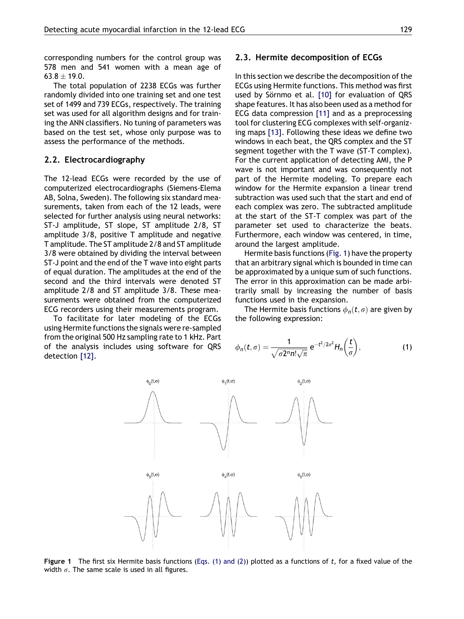corresponding numbers for the control group was 578 men and 541 women with a mean age of  $63.8 \pm 19.0$ .

The total population of 2238 ECGs was further randomly divided into one training set and one test set of 1499 and 739 ECGs, respectively. The training set was used for all algorithm designs and for training the ANN classifiers. No tuning of parameters was based on the test set, whose only purpose was to assess the performance of the methods.

# 2.2. Electrocardiography

The 12-lead ECGs were recorded by the use of computerized electrocardiographs (Siemens-Elema AB, Solna, Sweden). The following six standard measurements, taken from each of the 12 leads, were selected for further analysis using neural networks: ST-J amplitude, ST slope, ST amplitude 2/8, ST amplitude 3/8, positive T amplitude and negative T amplitude. The ST amplitude 2/8 and ST amplitude 3/8 were obtained by dividing the interval between ST-J point and the end of the T wave into eight parts of equal duration. The amplitudes at the end of the second and the third intervals were denoted ST amplitude 2/8 and ST amplitude 3/8. These measurements were obtained from the computerized ECG recorders using their measurements program.

To facilitate for later modeling of the ECGs using Hermite functions the signals were re-sampled from the original 500 Hz sampling rate to 1 kHz. Part of the analysis includes using software for QRS detection [\[12\].](#page-9-0)

# 2.3. Hermite decomposition of ECGs

In this section we describe the decomposition of the ECGs using Hermite functions. This method was first used by Sörnmo et al. [\[10\]](#page-9-0) for evaluation of QRS shape features. It has also been used as a method for ECG data compression [\[11\]](#page-9-0) and as a preprocessing tool for clustering ECG complexes with self-organizing maps [\[13\]](#page-9-0). Following these ideas we define two windows in each beat, the QRS complex and the ST segment together with the T wave (ST-T complex). For the current application of detecting AMI, the P wave is not important and was consequently not part of the Hermite modeling. To prepare each window for the Hermite expansion a linear trend subtraction was used such that the start and end of each complex was zero. The subtracted amplitude at the start of the ST-T complex was part of the parameter set used to characterize the beats. Furthermore, each window was centered, in time, around the largest amplitude.

Hermite basis functions (Fig. 1) have the property that an arbitrary signal which is bounded in time can be approximated by a unique sum of such functions. The error in this approximation can be made arbitrarily small by increasing the number of basis functions used in the expansion.

The Hermite basis functions  $\phi_n(t, \sigma)$  are given by the following expression:

$$
\phi_n(t,\sigma)=\frac{1}{\sqrt{\sigma2^n n!\sqrt{\pi}}}e^{-t^2/2\sigma^2}H_n\left(\frac{t}{\sigma}\right),\qquad (1)
$$



Figure 1 The first six Hermite basis functions (Eqs. (1) and (2)) plotted as a functions of  $t$ , for a fixed value of the width  $\sigma$ . The same scale is used in all figures.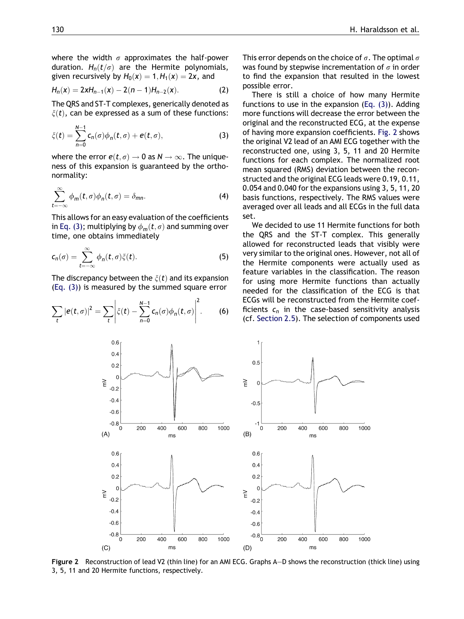where the width  $\sigma$  approximates the half-power duration.  $H_n(t/\sigma)$  are the Hermite polynomials, given recursively by  $H_0(x) = 1$ ,  $H_1(x) = 2x$ , and

$$
H_n(x) = 2xH_{n-1}(x) - 2(n-1)H_{n-2}(x).
$$
 (2)

The QRS and ST-T complexes, generically denoted as  $\xi(t)$ , can be expressed as a sum of these functions:

$$
\xi(t) = \sum_{n=0}^{N-1} c_n(\sigma) \phi_n(t, \sigma) + e(t, \sigma), \qquad (3)
$$

where the error  $e(t, \sigma) \rightarrow 0$  as  $N \rightarrow \infty$ . The uniqueness of this expansion is guaranteed by the orthonormality:

$$
\sum_{t=-\infty}^{\infty} \phi_m(t,\sigma)\phi_n(t,\sigma) = \delta_{mn}.
$$
 (4)

This allows for an easy evaluation of the coefficients in Eq. (3); multiplying by  $\phi_m(t, \sigma)$  and summing over time, one obtains immediately

$$
c_n(\sigma) = \sum_{t=-\infty}^{\infty} \phi_n(t,\sigma) \xi(t).
$$
 (5)

The discrepancy between the  $\xi(t)$  and its expansion (Eq. (3)) is measured by the summed square error

$$
\sum_{t} |e(t,\sigma)|^2 = \sum_{t} \left| \xi(t) - \sum_{n=0}^{N-1} c_n(\sigma) \phi_n(t,\sigma) \right|^2.
$$
 (6)

This error depends on the choice of  $\sigma$ . The optimal  $\sigma$ was found by stepwise incrementation of  $\sigma$  in order to find the expansion that resulted in the lowest possible error.

There is still a choice of how many Hermite functions to use in the expansion (Eq. (3)). Adding more functions will decrease the error between the original and the reconstructed ECG, at the expense of having more expansion coefficients. Fig. 2 shows the original V2 lead of an AMI ECG together with the reconstructed one, using 3, 5, 11 and 20 Hermite functions for each complex. The normalized root mean squared (RMS) deviation between the reconstructed and the original ECG leads were 0.19, 0.11, 0.054 and 0.040 for the expansions using 3, 5, 11, 20 basis functions, respectively. The RMS values were averaged over all leads and all ECGs in the full data set.

We decided to use 11 Hermite functions for both the QRS and the ST-T complex. This generally allowed for reconstructed leads that visibly were very similar to the original ones. However, not all of the Hermite components were actually used as feature variables in the classification. The reason for using more Hermite functions than actually needed for the classification of the ECG is that ECGs will be reconstructed from the Hermite coefficients  $c_n$  in the case-based sensitivity analysis (cf. [Section 2.5\)](#page-4-0). The selection of components used



Figure 2 Reconstruction of lead V2 (thin line) for an AMI ECG. Graphs A—D shows the reconstruction (thick line) using 3, 5, 11 and 20 Hermite functions, respectively.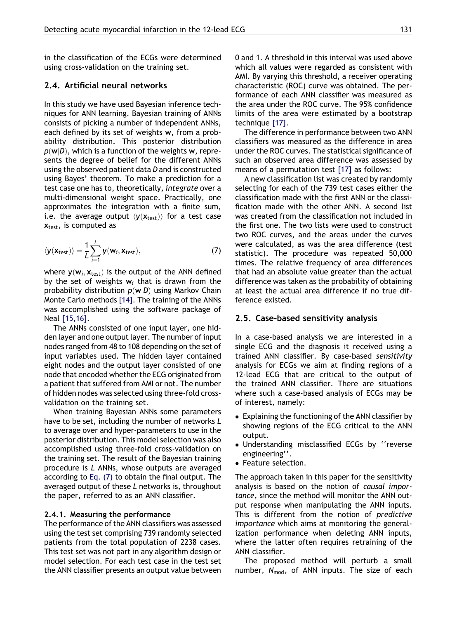<span id="page-4-0"></span>in the classification of the ECGs were determined using cross-validation on the training set.

# 2.4. Artificial neural networks

In this study we have used Bayesian inference techniques for ANN learning. Bayesian training of ANNs consists of picking a number of independent ANNs, each defined by its set of weights w, from a probability distribution. This posterior distribution  $p(w|D)$ , which is a function of the weights w, represents the degree of belief for the different ANNs using the observed patient data D and is constructed using Bayes' theorem. To make a prediction for a test case one has to, theoretically, integrate over a multi-dimensional weight space. Practically, one approximates the integration with a finite sum, i.e. the average output  $\langle v(x_{test})\rangle$  for a test case  $x_{test}$ , is computed as

$$
\langle \mathbf{y}(\mathbf{x}_{\text{test}}) \rangle = \frac{1}{L} \sum_{i=1}^{L} \mathbf{y}(\mathbf{w}_i, \mathbf{x}_{\text{test}}), \tag{7}
$$

where  $y(w_i, x_{test})$  is the output of the ANN defined by the set of weights  $w_i$  that is drawn from the probability distribution  $p(w|D)$  using Markov Chain Monte Carlo methods [\[14\]](#page-9-0). The training of the ANNs was accomplished using the software package of Neal [\[15,16\].](#page-9-0)

The ANNs consisted of one input layer, one hidden layer and one output layer. The number of input nodes ranged from 48 to 108 depending on the set of input variables used. The hidden layer contained eight nodes and the output layer consisted of one node that encoded whether the ECG originated from a patient that suffered from AMI or not. The number of hidden nodes was selected using three-fold crossvalidation on the training set.

When training Bayesian ANNs some parameters have to be set, including the number of networks L to average over and hyper-parameters to use in the posterior distribution. This model selection was also accomplished using three-fold cross-validation on the training set. The result of the Bayesian training procedure is L ANNs, whose outputs are averaged according to Eq. (7) to obtain the final output. The averaged output of these L networks is, throughout the paper, referred to as an ANN classifier.

## 2.4.1. Measuring the performance

The performance of the ANN classifiers was assessed using the test set comprising 739 randomly selected patients from the total population of 2238 cases. This test set was not part in any algorithm design or model selection. For each test case in the test set the ANN classifier presents an output value between 0 and 1. A threshold in this interval was used above which all values were regarded as consistent with AMI. By varying this threshold, a receiver operating characteristic (ROC) curve was obtained. The performance of each ANN classifier was measured as the area under the ROC curve. The 95% confidence limits of the area were estimated by a bootstrap technique [\[17\]](#page-9-0).

The difference in performance between two ANN classifiers was measured as the difference in area under the ROC curves. The statistical significance of such an observed area difference was assessed by means of a permutation test [\[17\]](#page-9-0) as follows:

A new classification list was created by randomly selecting for each of the 739 test cases either the classification made with the first ANN or the classification made with the other ANN. A second list was created from the classification not included in the first one. The two lists were used to construct two ROC curves, and the areas under the curves were calculated, as was the area difference (test statistic). The procedure was repeated 50,000 times. The relative frequency of area differences that had an absolute value greater than the actual difference was taken as the probability of obtaining at least the actual area difference if no true difference existed.

### 2.5. Case-based sensitivity analysis

In a case-based analysis we are interested in a single ECG and the diagnosis it received using a trained ANN classifier. By case-based sensitivity analysis for ECGs we aim at finding regions of a 12-lead ECG that are critical to the output of the trained ANN classifier. There are situations where such a case-based analysis of ECGs may be of interest, namely:

- Explaining the functioning of the ANN classifier by showing regions of the ECG critical to the ANN output.
- Understanding misclassified ECGs by ''reverse engineering''.
- Feature selection.

The approach taken in this paper for the sensitivity analysis is based on the notion of causal importance, since the method will monitor the ANN output response when manipulating the ANN inputs. This is different from the notion of predictive importance which aims at monitoring the generalization performance when deleting ANN inputs, where the latter often requires retraining of the ANN classifier.

The proposed method will perturb a small number,  $N_{mod}$ , of ANN inputs. The size of each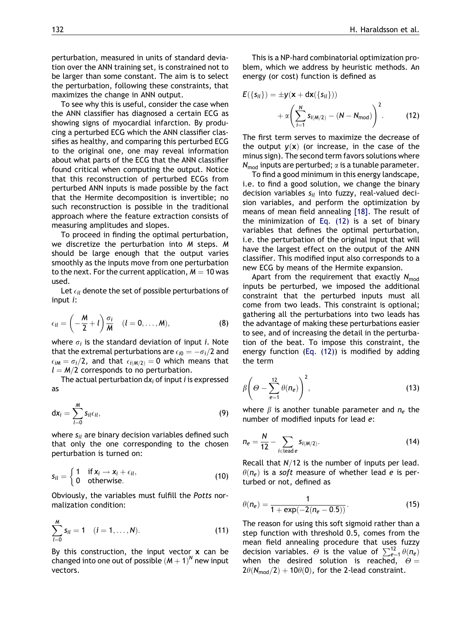<span id="page-5-0"></span>perturbation, measured in units of standard deviation over the ANN training set, is constrained not to be larger than some constant. The aim is to select the perturbation, following these constraints, that maximizes the change in ANN output.

To see why this is useful, consider the case when the ANN classifier has diagnosed a certain ECG as showing signs of myocardial infarction. By producing a perturbed ECG which the ANN classifier classifies as healthy, and comparing this perturbed ECG to the original one, one may reveal information about what parts of the ECG that the ANN classifier found critical when computing the output. Notice that this reconstruction of perturbed ECGs from perturbed ANN inputs is made possible by the fact that the Hermite decomposition is invertible; no such reconstruction is possible in the traditional approach where the feature extraction consists of measuring amplitudes and slopes.

To proceed in finding the optimal perturbation, we discretize the perturbation into M steps. M should be large enough that the output varies smoothly as the inputs move from one perturbation to the next. For the current application,  $M = 10$  was used.

Let  $\epsilon_{il}$  denote the set of possible perturbations of input i:

$$
\epsilon_{il} = \left(-\frac{M}{2} + l\right)\frac{\sigma_i}{M} \quad (l = 0, \ldots, M), \tag{8}
$$

where  $\sigma_i$  is the standard deviation of input *i*. Note that the extremal perturbations are  $\epsilon_{i0} = -\sigma_i/2$  and  $\epsilon_{iM}=\sigma_i/2$ , and that  $\epsilon_{i(M/2)}=0$  which means that  $l = M/2$  corresponds to no perturbation.

The actual perturbation  $dx_i$  of input *i* is expressed as

$$
dx_i = \sum_{l=0}^{M} s_{il} \epsilon_{il}, \qquad (9)
$$

where  $s_{il}$  are binary decision variables defined such that only the one corresponding to the chosen perturbation is turned on:

$$
s_{il} = \begin{cases} 1 & \text{if } x_i \to x_i + \epsilon_{il}, \\ 0 & \text{otherwise.} \end{cases}
$$
 (10)

Obviously, the variables must fulfill the Potts normalization condition:

$$
\sum_{l=0}^{M} s_{il} = 1 \quad (i = 1, ..., N).
$$
 (11)

By this construction, the input vector  $x$  can be changed into one out of possible  $(M + 1)^N$  new input vectors.

This is a NP-hard combinatorial optimization problem, which we address by heuristic methods. An energy (or cost) function is defined as

$$
E({sil}) = \pm \mathbf{y}(\mathbf{x} + d\mathbf{x}({sil}))
$$
  
+  $\alpha \left(\sum_{i=1}^{N} s_{i(M/2)} - (N - N_{mod})\right)^2$ . (12)

The first term serves to maximize the decrease of the output  $v(x)$  (or increase, in the case of the minus sign). The second term favors solutions where  $N_{mod}$  inputs are perturbed;  $\alpha$  is a tunable parameter.

To find a good minimum in this energy landscape, i.e. to find a good solution, we change the binary decision variables  $s_{il}$  into fuzzy, real-valued decision variables, and perform the optimization by means of mean field annealing [\[18\]](#page-9-0). The result of the minimization of Eq. (12) is a set of binary variables that defines the optimal perturbation, i.e. the perturbation of the original input that will have the largest effect on the output of the ANN classifier. This modified input also corresponds to a new ECG by means of the Hermite expansion.

Apart from the requirement that exactly  $N_{mod}$ inputs be perturbed, we imposed the additional constraint that the perturbed inputs must all come from two leads. This constraint is optional; gathering all the perturbations into two leads has the advantage of making these perturbations easier to see, and of increasing the detail in the perturbation of the beat. To impose this constraint, the energy function (Eq. (12)) is modified by adding the term

$$
\beta\left(\Theta-\sum_{e=1}^{12}\theta(n_e)\right)^2,\tag{13}
$$

where  $\beta$  is another tunable parameter and  $n_e$  the number of modified inputs for lead e:

$$
n_e = \frac{N}{12} - \sum_{i \in \text{lead } e} s_{i(M/2)}.
$$
 (14)

Recall that  $N/12$  is the number of inputs per lead.  $\theta(n_e)$  is a soft measure of whether lead e is perturbed or not, defined as

$$
\theta(n_e) = \frac{1}{1 + \exp(-2(n_e - 0.5))}.
$$
\n(15)

The reason for using this soft sigmoid rather than a step function with threshold 0.5, comes from the mean field annealing procedure that uses fuzzy decision variables.  $\Theta$  is the value of  $\sum_{e=1}^{12} \theta(n_e)$ when the desired solution is reached,  $\Theta =$  $2\theta(N_{mod}/2) + 10\theta(0)$ , for the 2-lead constraint.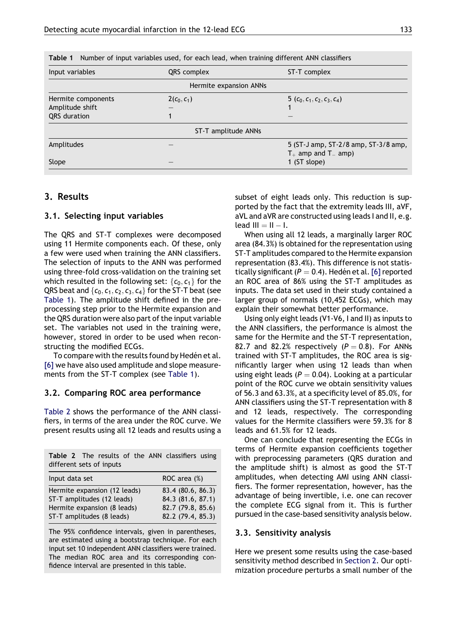| Input variables                                       | QRS complex            | ST-T complex                                                     |  |
|-------------------------------------------------------|------------------------|------------------------------------------------------------------|--|
|                                                       | Hermite expansion ANNs |                                                                  |  |
| Hermite components<br>Amplitude shift<br>QRS duration | $2(c_0, c_1)$          | 5 $(c_0, c_1, c_2, c_3, c_4)$                                    |  |
|                                                       | ST-T amplitude ANNs    |                                                                  |  |
| Amplitudes                                            |                        | 5 (ST-J amp, ST-2/8 amp, ST-3/8 amp,<br>$T_+$ amp and $T_-$ amp) |  |
| Slope                                                 |                        | 1 (ST slope)                                                     |  |

|  |  | Table 1 Number of input variables used, for each lead, when training different ANN classifiers |  |  |  |  |
|--|--|------------------------------------------------------------------------------------------------|--|--|--|--|
|--|--|------------------------------------------------------------------------------------------------|--|--|--|--|

# 3. Results

# 3.1. Selecting input variables

The QRS and ST-T complexes were decomposed using 11 Hermite components each. Of these, only a few were used when training the ANN classifiers. The selection of inputs to the ANN was performed using three-fold cross-validation on the training set which resulted in the following set:  ${c_0, c_1}$  for the QRS beat and  $\{c_0, c_1, c_2, c_3, c_4\}$  for the ST-T beat (see Table 1). The amplitude shift defined in the preprocessing step prior to the Hermite expansion and the QRS duration were also part of the input variable set. The variables not used in the training were, however, stored in order to be used when reconstructing the modified ECGs.

To compare with the results found by Hedén et al. [\[6\]](#page-9-0) we have also used amplitude and slope measurements from the ST-T complex (see Table 1).

## 3.2. Comparing ROC area performance

Table 2 shows the performance of the ANN classifiers, in terms of the area under the ROC curve. We present results using all 12 leads and results using a

| Table 2 The results of the ANN classifiers using<br>different sets of inputs                                           |                                                                                  |  |  |  |  |  |
|------------------------------------------------------------------------------------------------------------------------|----------------------------------------------------------------------------------|--|--|--|--|--|
| Input data set                                                                                                         | ROC area (%)                                                                     |  |  |  |  |  |
| Hermite expansion (12 leads)<br>ST-T amplitudes (12 leads)<br>Hermite expansion (8 leads)<br>ST-T amplitudes (8 leads) | 83.4 (80.6, 86.3)<br>84.3 (81.6, 87.1)<br>82.7 (79.8, 85.6)<br>82.2 (79.4, 85.3) |  |  |  |  |  |

The 95% confidence intervals, given in parentheses, are estimated using a bootstrap technique. For each input set 10 independent ANN classifiers were trained. The median ROC area and its corresponding confidence interval are presented in this table.

subset of eight leads only. This reduction is supported by the fact that the extremity leads III, aVF, aVL and aVR are constructed using leads I and II, e.g. lead  $III = II - I$ .

When using all 12 leads, a marginally larger ROC area (84.3%) is obtained for the representation using ST-T amplitudes compared to the Hermite expansion representation (83.4%). This difference is not statistically significant ( $P = 0.4$ ). Hedén et al. [\[6\]](#page-9-0) reported an ROC area of 86% using the ST-T amplitudes as inputs. The data set used in their study contained a larger group of normals (10,452 ECGs), which may explain their somewhat better performance.

Using only eight leads (V1-V6, I and II) as inputs to the ANN classifiers, the performance is almost the same for the Hermite and the ST-T representation, 82.7 and 82.2% respectively  $(P = 0.8)$ . For ANNs trained with ST-T amplitudes, the ROC area is significantly larger when using 12 leads than when using eight leads ( $P = 0.04$ ). Looking at a particular point of the ROC curve we obtain sensitivity values of 56.3 and 63.3%, at a specificity level of 85.0%, for ANN classifiers using the ST-T representation with 8 and 12 leads, respectively. The corresponding values for the Hermite classifiers were 59.3% for 8 leads and 61.5% for 12 leads.

One can conclude that representing the ECGs in terms of Hermite expansion coefficients together with preprocessing parameters (QRS duration and the amplitude shift) is almost as good the ST-T amplitudes, when detecting AMI using ANN classifiers. The former representation, however, has the advantage of being invertible, i.e. one can recover the complete ECG signal from it. This is further pursued in the case-based sensitivity analysis below.

## 3.3. Sensitivity analysis

Here we present some results using the case-based sensitivity method described in [Section 2.](#page-1-0) Our optimization procedure perturbs a small number of the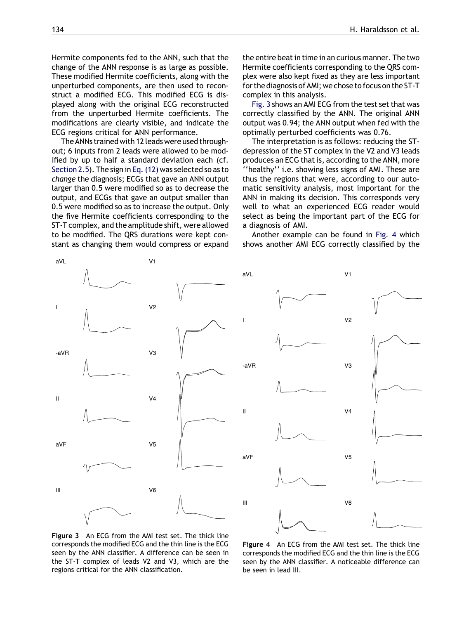Hermite components fed to the ANN, such that the change of the ANN response is as large as possible. These modified Hermite coefficients, along with the unperturbed components, are then used to reconstruct a modified ECG. This modified ECG is displayed along with the original ECG reconstructed from the unperturbed Hermite coefficients. The modifications are clearly visible, and indicate the ECG regions critical for ANN performance.

The ANNs trained with 12 leads were used throughout; 6 inputs from 2 leads were allowed to be modified by up to half a standard deviation each (cf. [Section 2.5](#page-4-0)). The sign in [Eq. \(12\)](#page-5-0) was selected so as to change the diagnosis; ECGs that gave an ANN output larger than 0.5 were modified so as to decrease the output, and ECGs that gave an output smaller than 0.5 were modified so as to increase the output. Only the five Hermite coefficients corresponding to the ST-T complex, and the amplitude shift, were allowed to be modified. The QRS durations were kept constant as changing them would compress or expand the entire beat in time in an curious manner. The two Hermite coefficients corresponding to the QRS complex were also kept fixed as they are less important for the diagnosis of AMI; we chose to focus on the ST-T complex in this analysis.

Fig. 3 shows an AMI ECG from the test set that was correctly classified by the ANN. The original ANN output was 0.94; the ANN output when fed with the optimally perturbed coefficients was 0.76.

The interpretation is as follows: reducing the STdepression of the ST complex in the V2 and V3 leads produces an ECG that is, according to the ANN, more ''healthy'' i.e. showing less signs of AMI. These are thus the regions that were, according to our automatic sensitivity analysis, most important for the ANN in making its decision. This corresponds very well to what an experienced ECG reader would select as being the important part of the ECG for a diagnosis of AMI.

Another example can be found in Fig. 4 which shows another AMI ECG correctly classified by the





Figure 3 An ECG from the AMI test set. The thick line corresponds the modified ECG and the thin line is the ECG seen by the ANN classifier. A difference can be seen in the ST-T complex of leads V2 and V3, which are the regions critical for the ANN classification.

Figure 4 An ECG from the AMI test set. The thick line corresponds the modified ECG and the thin line is the ECG seen by the ANN classifier. A noticeable difference can be seen in lead III.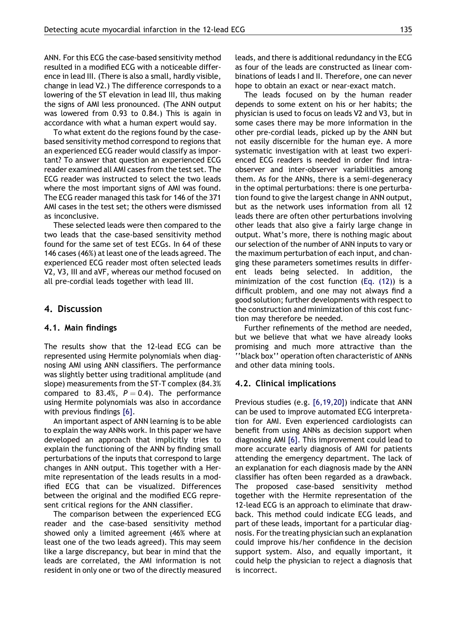ANN. For this ECG the case-based sensitivity method resulted in a modified ECG with a noticeable difference in lead III. (There is also a small, hardly visible, change in lead V2.) The difference corresponds to a lowering of the ST elevation in lead III, thus making the signs of AMI less pronounced. (The ANN output was lowered from 0.93 to 0.84.) This is again in accordance with what a human expert would say.

To what extent do the regions found by the casebased sensitivity method correspond to regions that an experienced ECG reader would classify as important? To answer that question an experienced ECG reader examined all AMI cases from the test set. The ECG reader was instructed to select the two leads where the most important signs of AMI was found. The ECG reader managed this task for 146 of the 371 AMI cases in the test set; the others were dismissed as inconclusive.

These selected leads were then compared to the two leads that the case-based sensitivity method found for the same set of test ECGs. In 64 of these 146 cases (46%) at least one of the leads agreed. The experienced ECG reader most often selected leads V2, V3, III and aVF, whereas our method focused on all pre-cordial leads together with lead III.

# 4. Discussion

## 4.1. Main findings

The results show that the 12-lead ECG can be represented using Hermite polynomials when diagnosing AMI using ANN classifiers. The performance was slightly better using traditional amplitude (and slope) measurements from the ST-T complex (84.3% compared to 83.4%,  $P = 0.4$ ). The performance using Hermite polynomials was also in accordance with previous findings [\[6\]](#page-9-0).

An important aspect of ANN learning is to be able to explain the way ANNs work. In this paper we have developed an approach that implicitly tries to explain the functioning of the ANN by finding small perturbations of the inputs that correspond to large changes in ANN output. This together with a Hermite representation of the leads results in a modified ECG that can be visualized. Differences between the original and the modified ECG represent critical regions for the ANN classifier.

The comparison between the experienced ECG reader and the case-based sensitivity method showed only a limited agreement (46% where at least one of the two leads agreed). This may seem like a large discrepancy, but bear in mind that the leads are correlated, the AMI information is not resident in only one or two of the directly measured leads, and there is additional redundancy in the ECG as four of the leads are constructed as linear combinations of leads I and II. Therefore, one can never hope to obtain an exact or near-exact match.

The leads focused on by the human reader depends to some extent on his or her habits; the physician is used to focus on leads V2 and V3, but in some cases there may be more information in the other pre-cordial leads, picked up by the ANN but not easily discernible for the human eye. A more systematic investigation with at least two experienced ECG readers is needed in order find intraobserver and inter-observer variabilities among them. As for the ANNs, there is a semi-degeneracy in the optimal perturbations: there is one perturbation found to give the largest change in ANN output, but as the network uses information from all 12 leads there are often other perturbations involving other leads that also give a fairly large change in output. What's more, there is nothing magic about our selection of the number of ANN inputs to vary or the maximum perturbation of each input, and changing these parameters sometimes results in different leads being selected. In addition, the minimization of the cost function ([Eq. \(12\)\)](#page-5-0) is a difficult problem, and one may not always find a good solution; further developments with respect to the construction and minimization of this cost function may therefore be needed.

Further refinements of the method are needed, but we believe that what we have already looks promising and much more attractive than the ''black box'' operation often characteristic of ANNs and other data mining tools.

## 4.2. Clinical implications

Previous studies (e.g. [\[6,19,20\]](#page-9-0)) indicate that ANN can be used to improve automated ECG interpretation for AMI. Even experienced cardiologists can benefit from using ANNs as decision support when diagnosing AMI [\[6\].](#page-9-0) This improvement could lead to more accurate early diagnosis of AMI for patients attending the emergency department. The lack of an explanation for each diagnosis made by the ANN classifier has often been regarded as a drawback. The proposed case-based sensitivity method together with the Hermite representation of the 12-lead ECG is an approach to eliminate that drawback. This method could indicate ECG leads, and part of these leads, important for a particular diagnosis. For the treating physician such an explanation could improve his/her confidence in the decision support system. Also, and equally important, it could help the physician to reject a diagnosis that is incorrect.